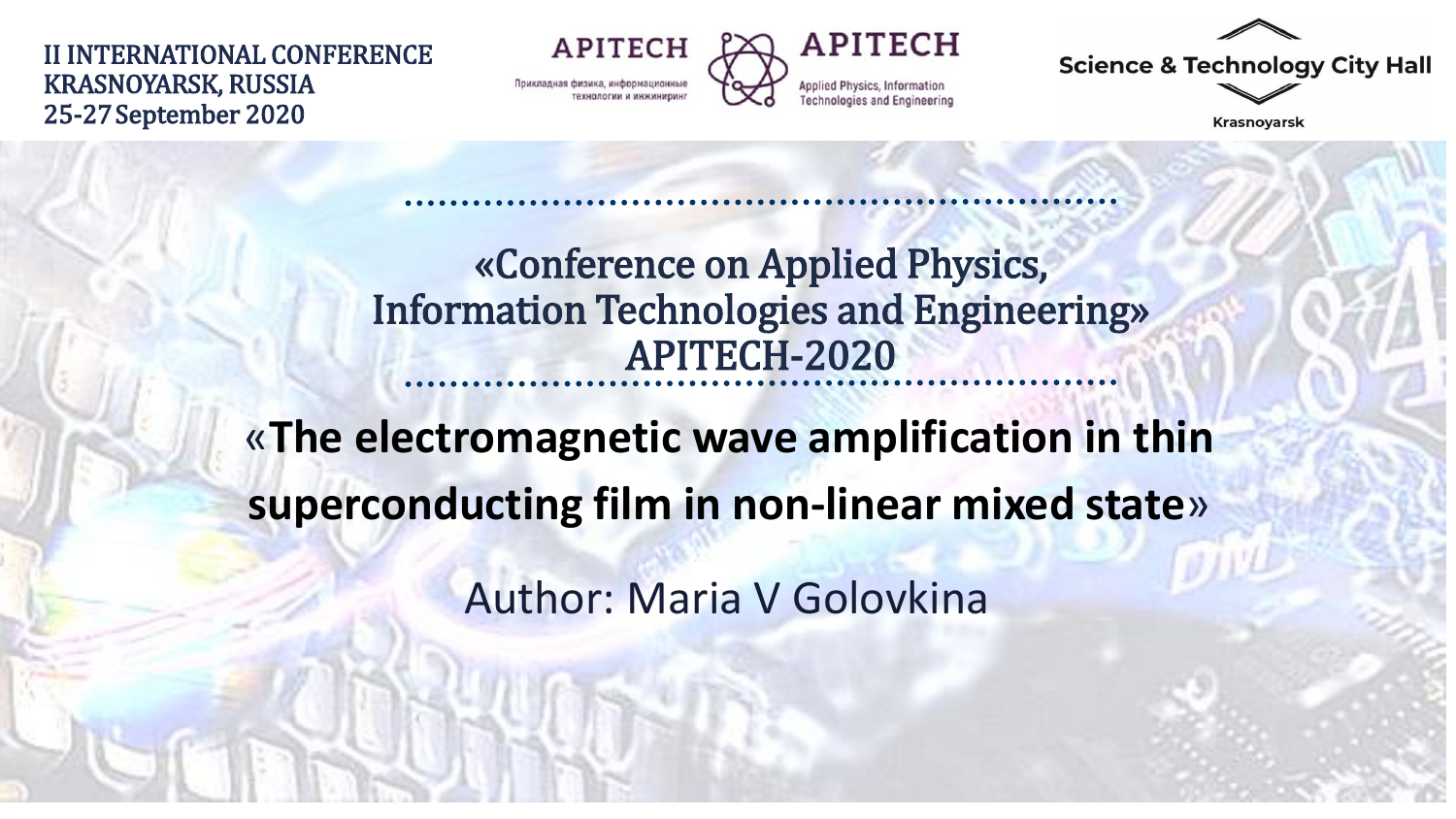II INTERNATIONAL CONFERENCE KRASNOYARSK, RUSSIA 25-27September 2020

**APITECH** Прикладная физика, информационны



**Science & Technology City Hall** 

**Krasnoyarsk** 

### «Conference on Applied Physics, Information Technologies and Engineering» APITECH-2020

«**The electromagnetic wave amplification in thin superconducting film in non-linear mixed state**»

Author: Maria V Golovkina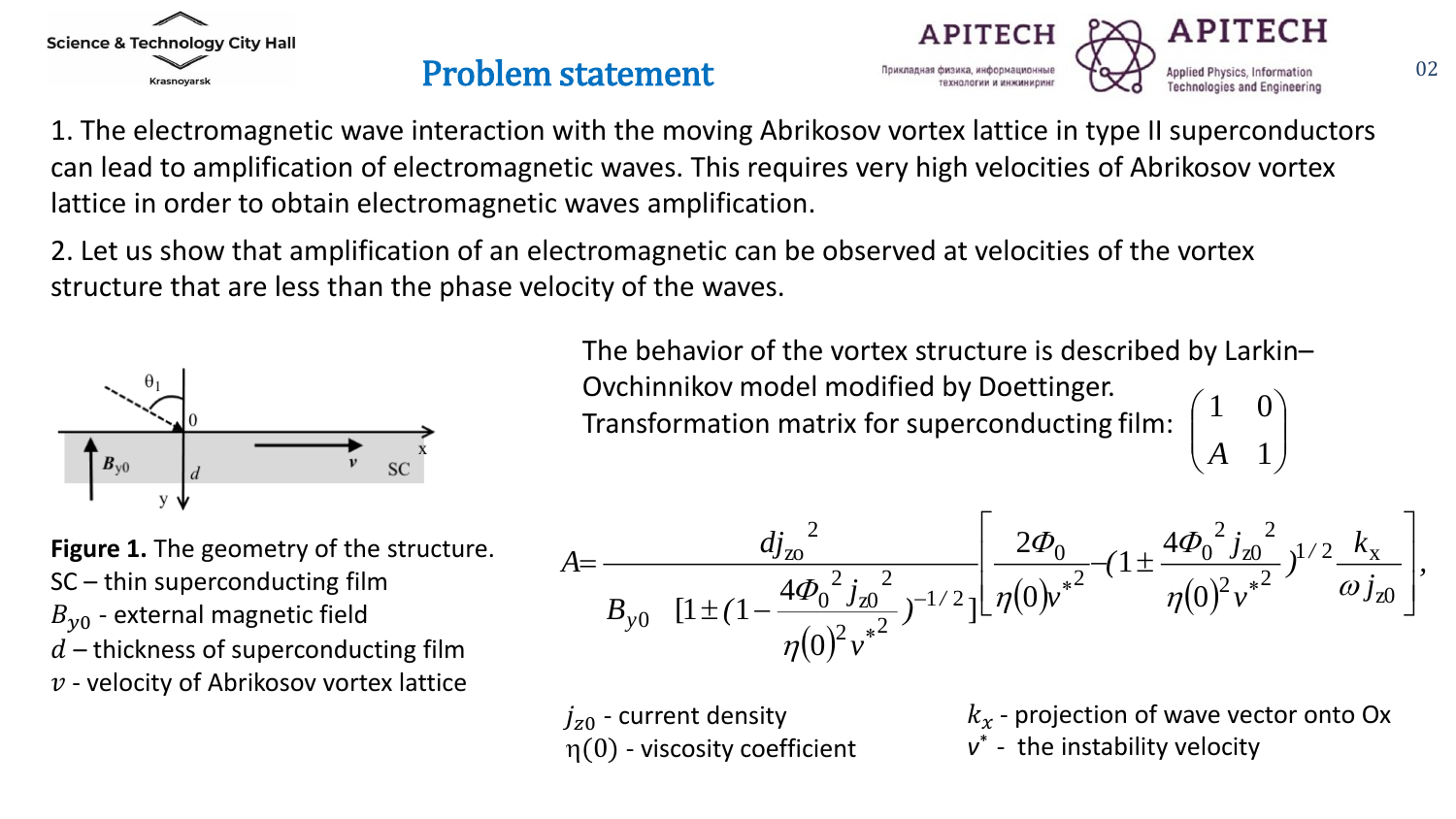



1. The electromagnetic wave interaction with the moving Abrikosov vortex lattice in type II superconductors can lead to amplification of electromagnetic waves. This requires very high velocities of Abrikosov vortex lattice in order to obtain electromagnetic waves amplification.

2. Let us show that amplification of an electromagnetic can be observed at velocities of the vortex structure that are less than the phase velocity of the waves.



The behavior of the vortex structure is described by Larkin– Ovchinnikov model modified by Doettinger. Transformation matrix for superconducting film:  $\mathbb{R}^n$  $\int$  $\bigg)$   $(A \ 1)$  $(1 \ 0)$ 1  $1 \quad 0 \setminus$ *A*

**Figure 1.** The geometry of the structure. SC – thin superconducting film  $B_{\nu 0}$  - external magnetic field  $d$  – thickness of superconducting film  $v$  - velocity of Abrikosov vortex lattice

$$
A = \frac{d{j_{\text{zo}}^2}{B_{\text{yo}} \left[1 \pm (1 - \frac{4\Phi_0^2 j_{\text{zo}}^2}{\eta(0)^2 v^*} \right]^{-1/2} \left[\frac{2\Phi_0}{\eta(0)v^*} - \left(1 \pm \frac{4\Phi_0^2 j_{\text{zo}}^2}{\eta(0)^2 v^*} \right)^{1/2} \frac{k_x}{\omega j_{\text{zo}}}\right]},
$$

 $j_{z0}$  - current density  $\eta(0)$  - viscosity coefficient  $k<sub>x</sub>$  - projection of wave vector onto Ox *v* \* - the instability velocity

ㄱ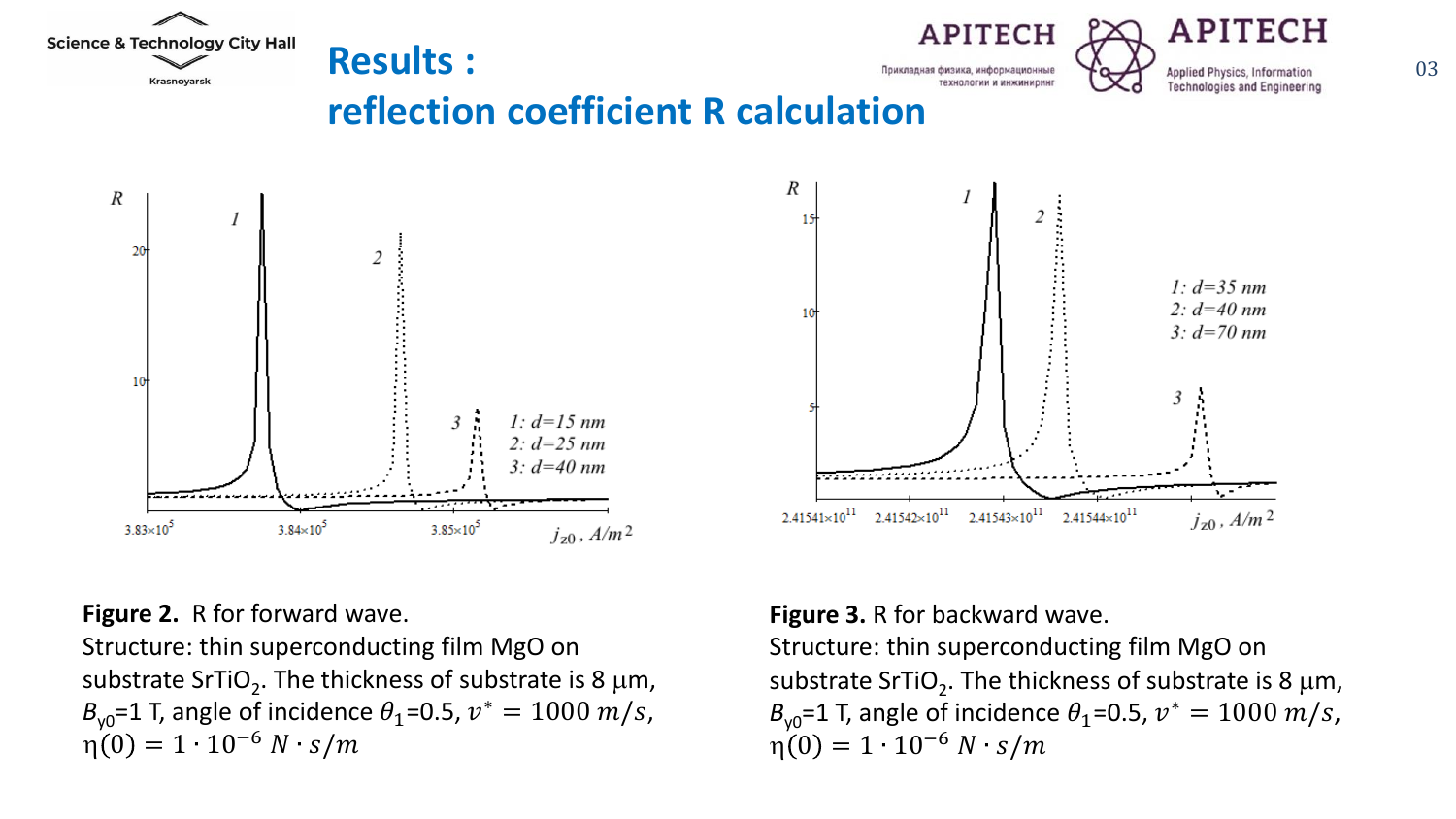





**reflection coefficient R calculation**





#### **Figure 2.** R for forward wave.

Structure: thin superconducting film MgO on substrate SrTiO<sub>2</sub>. The thickness of substrate is 8  $\mu$ m,  $B_{\gamma 0}$ =1 T, angle of incidence  $\theta_1$ =0.5,  $v^* = 1000$  *m/s*,  $\eta(0) = 1 \cdot 10^{-6} N \cdot s/m$ 

### **Figure 3.** R for backward wave.

Structure: thin superconducting film MgO on substrate SrTiO<sub>2</sub>. The thickness of substrate is 8  $\mu$ m,  $B_{\gamma 0}$ =1 T, angle of incidence  $\theta_1$ =0.5,  $v^* = 1000$  *m/s*,  $\eta(0) = 1 \cdot 10^{-6} N \cdot s/m$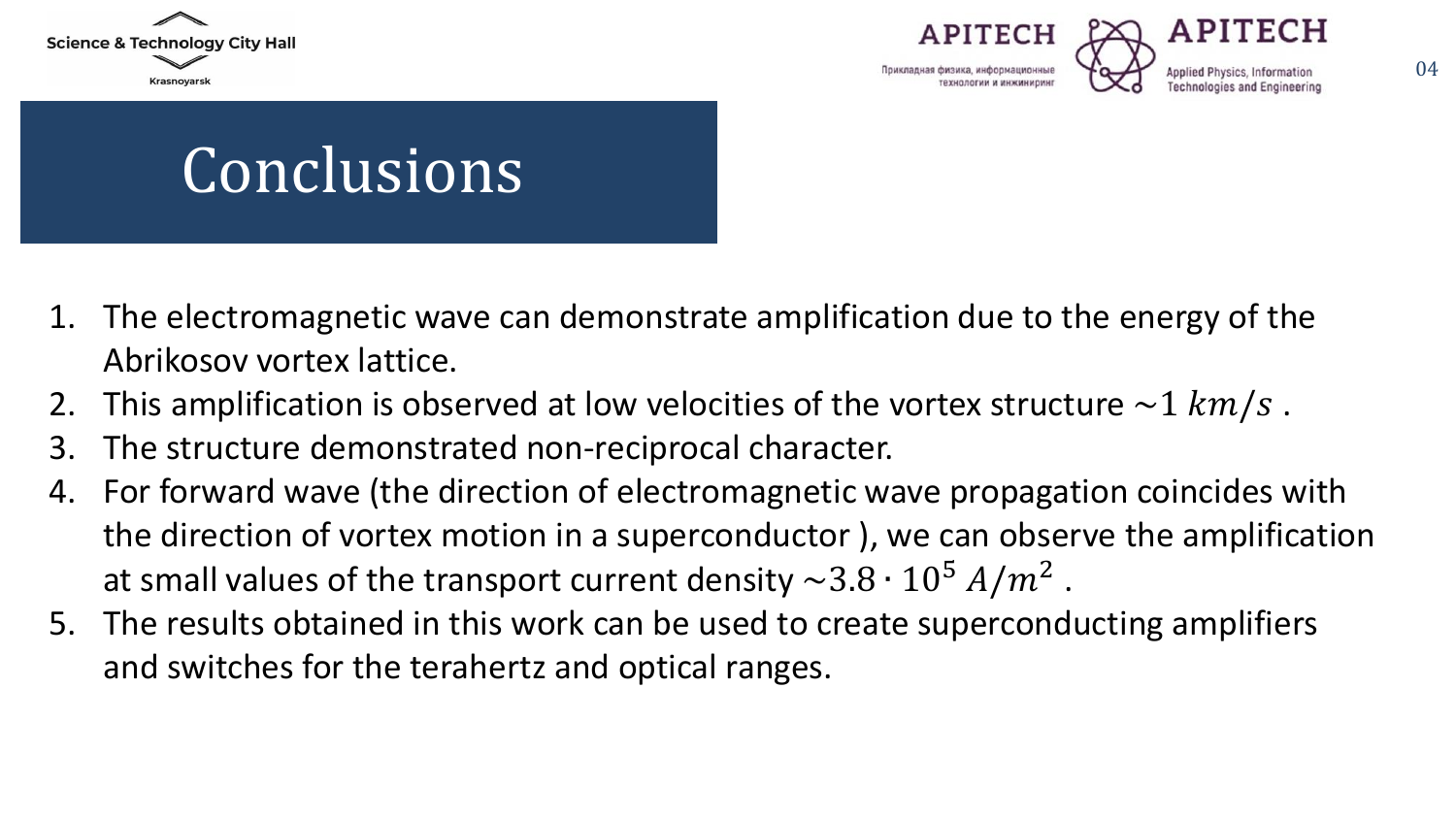





# Conclusions

- 1. The electromagnetic wave can demonstrate amplification due to the energy of the Abrikosov vortex lattice.
- 2. This amplification is observed at low velocities of the vortex structure  $\sim 1$  km/s.
- 3. The structure demonstrated non-reciprocal character.
- 4. For forward wave (the direction of electromagnetic wave propagation coincides with the direction of vortex motion in a superconductor ), we can observe the amplification at small values of the transport current density  $\sim$ 3.8  $\cdot$  10<sup>5</sup>  $A/m^2$  .
- 5. The results obtained in this work can be used to create superconducting amplifiers and switches for the terahertz and optical ranges.